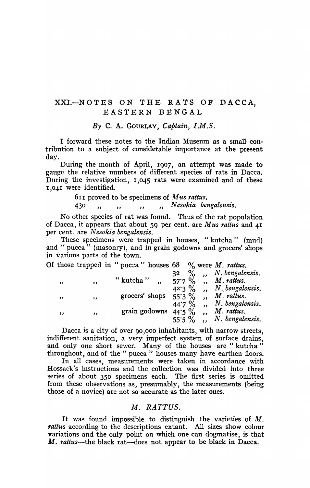## XXI.-NOTES ON THE *RATS* OF DACCA<sup>1</sup> EASTERN BENGAL

*By* C. A. GOURLAY, *Captain, I.M.S.* 

I forward these notes to the Indian Museum as a small contribution to a subject of considetable importance at the present day.

During the month of April, 1907, an attempt was made to gauge the relative numbers of different species of rats in Dacca. During the investigation, 1,045 rats were examined and of these 1,041 were identified.

611 proved to be specimens of *Mus rattus.* 

430 **"** , , , , , , , Nesokia bengalensis.

No other species of rat was found. Thus of the rat population of Dacca, it appears that about 59 per cent. are *Mus raltus* and 41 per cent. are *N esokia bengalensis.* 

These specimens were trapped in houses, "kutcha" (mud) and " pucca<sup>"</sup> (masonry), and in grain godowns and grocers' shops in various parts of the town.

| Of those trapped in " pucca " houses 68 $\%$ were <i>M. rattus.</i> |  |  |  |  |  |  |  |  |
|---------------------------------------------------------------------|--|--|--|--|--|--|--|--|
|---------------------------------------------------------------------|--|--|--|--|--|--|--|--|

|     |           |                | 32           |     | N. bengalensis. |
|-----|-----------|----------------|--------------|-----|-----------------|
| , , | ,,        | "kutcha"       | $57.7\%$     |     | M. rattus.      |
|     |           |                | $42.3\%$     |     | N. bengalensis. |
| , , | $, \, \,$ | grocers' shops | $55.3\%$     | , , | M. rattus.      |
|     |           |                | $\%$<br>44.7 |     | N. bengalensis. |
| ,,  | ,,        | grain godowns  | $44.5\%$     |     | M. rattus.      |
|     |           |                | $55.5 \%$    |     | N. bengalensis. |

. Dacca js a city of over 90,000 inhabitants, with narrow streets, indifferent sanitation, a very imperfect system of surface drains, and only one short sewer. Many of the houses are "kutcha" throughout, and of the " puce a " houses many have earthen floors.

In all cases, measurements were taken in accordance with Hossack's instructions and the collection was divided into three series of about 350 specimens each. The first series is omitted from these observations as, presumably, the measurements (being tho3e of a novice) are not so accurate as the later ones.

## *M. RATTUS.*

It was found impossible to distinguish the varieties of  $M$ . rattus according to the descriptions extant. All sizes show colour variations and the only point on which one can dogmatise, is that M. *rattus*—the black rat—does not appear to be black in Dacca.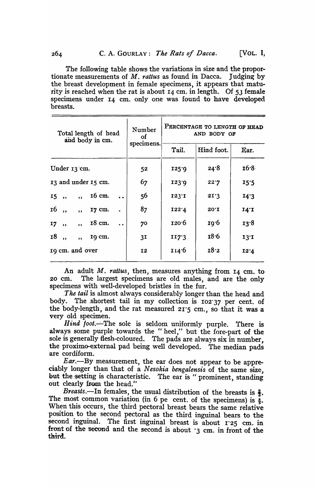The following table shows the variations in size and the proportionate measurements of *M. rattus* as found in Dacca. Judging by the breast development in female specimens, it appears that maturity is reached when the rat is about 14 cm. in length. Of 53 female specimens under 14 cm. only one was found to have developed breasts.

| Total length of head<br>and body in cm.                              | Number<br>οf   | PERCENTAGE TO LENGTH OF HEAD<br>AND BODY OF |                   |      |  |
|----------------------------------------------------------------------|----------------|---------------------------------------------|-------------------|------|--|
|                                                                      | specimens.     | Tail.                                       | Hind foot.        | Ear. |  |
| Under 13 cm.                                                         | 52             | 125.9                                       | 24.8              | 16.8 |  |
| 13 and under 15 cm.                                                  | 67             | 123.9                                       | 22.7              | 15:5 |  |
| 16 cm.<br>$15,$ ,<br>$\overline{\mathbf{B}}$<br>$\ddot{\phantom{a}}$ | 56             | 123T                                        | 21.3              | 14.3 |  |
| 16,,<br>17 cm.<br>$\overline{\mathbf{B}}$                            | 87             | 122.4                                       | $20^{\circ}$ I    | 14.1 |  |
| 18 cm.<br>17,<br>$, \,$<br>$\ddot{\phantom{a}}$                      | 70             | 120 <sup>.</sup> 6                          | 19 <sup>.</sup> 6 | 13.8 |  |
| <b>18</b><br>19 cm.<br>$\overline{\mathbf{z}}$<br>$\rightarrow$      | 3 <sub>I</sub> | II7.3                                       | 18.6              | 13T  |  |
| 19 cm. and over                                                      | <b>I2</b>      | 114.6                                       | 18.2              | 12.4 |  |

An adult M. *rattus,* then, measures anything from 14 cm. to 20 cm. The largest specimens are old males, and are the only specimens with well-developed bristles in the fur.

*. The tail* is almost always considerably longer than the head and body. The shortest tail in my collection is 102.37 per cent. of the body-length, and the rat measured  $21.5$  cm., so that it was a very old specimen.

*Hind foot.*--- The sole is seldom uniformly purple. There is always some purple towards the "heel," but the fore-part of the sole is generally flesh-coloured. The pads are always six in number, the proximo-external pad being well developed. The median pads are cordiform.

*Ear.-By* measurement, the ear does not appear to be appreeiably longer than that of a *Nesokia bengalensis* of the same size, but the setting is characteristic. The ear is "prominent, standing out clearly from the head."

*Breasts.*—In females, the usual distribution of the breasts is  $\frac{2}{3}$ . The most common variation (in 6 pe cent. of the specimens) is  $\frac{3}{3}$ . When this occurs, the third pectoral breast bears the same relative position to the second pectoral as the third inguinal bears to the second inguinal. The first inguinal breast is about r<sup>25</sup> cm. in front of the second and the second is about  $\cdot$ 3 cm. in front of the third.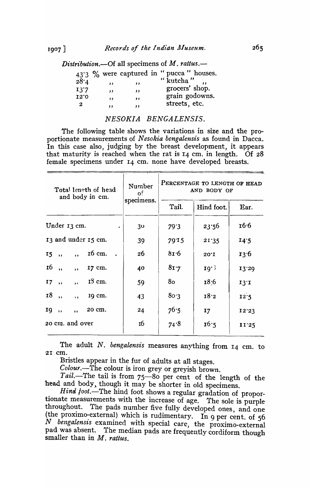Distribution.—Of all specimens of  $M$ . rattus.—

|      |           |          | 43'3 % were captured in "pucca" houses. |
|------|-----------|----------|-----------------------------------------|
| 28.4 | $\bullet$ | ,,       | "kutcha"                                |
| 13'7 | $\cdots$  | , ,      | grocers' shop.                          |
| 12.0 | ,,        | $\cdots$ | grain godowns.                          |
| 2    | ,,        | ,,       | streets, etc.                           |

## NESOKIA BENGALENSIS.

The following table shows the variations in size and the proportionate measurements of Nesokia bengalensis as found in Dacca. In this case also, judging by the breast development, it appears that maturity is reached when the rat is 14 cm. in length. Of 28 female specimens under 14 cm. none have developed breasts.

| Total length of head<br>and body in cm.                | Number<br>$\mathbf{o}$<br>specimens. | PERCENTAGE TO LENGTH OF HEAD<br>AND BODY OF |                |       |  |
|--------------------------------------------------------|--------------------------------------|---------------------------------------------|----------------|-------|--|
|                                                        |                                      | Tail.                                       | Hind foot.     | Ear.  |  |
| Under 13 cm.<br>$\bullet$                              | 30                                   | 79.3                                        | 23:56          | 16.6  |  |
| 13 and under 15 cm.                                    | 39                                   | 79.15                                       | 21.35          | I4.5  |  |
| 16 cm.<br>$15$ ,<br>, ,                                | 26                                   | 8r·6                                        | $20^{\circ}$ I | 13.6  |  |
| <b>16</b><br>17 cm.<br>$\overline{\phantom{a}}$<br>, , | 40                                   | 8r.7                                        | 10.3           | 13.29 |  |
| $18 \text{ cm}$ .<br>I7,,<br>$, \,$                    | 59                                   | 80                                          | 18:6           | 13.1  |  |
| <b>18</b><br>19 cm.<br>$\rightarrow$<br>$, \,$         | 43                                   | 80.3                                        | 18.2           | 12.5  |  |
| 20 cm.<br>19,,<br>$\overline{\mathbf{z}}$              | 24                                   | 76.5                                        | 17             | 12.23 |  |
| 20 cm. and over                                        | 16                                   | 74.8                                        | 16.5           | 11'25 |  |
|                                                        |                                      |                                             |                |       |  |

The adult  $N$ . bengalensis measures anything from  $I_4$  cm. to 21 cm.

Bristles appear in the fur of adults at all stages.

Colour.-The colour is iron grey or greyish brown.

Tail.-The tail is from 75-80 per cent of the length of the head and body, though it may be shorter in old specimens.

Hind foot. The hind foot shows a regular gradation of proportionate measurements with the increase of age. The sole is purple The pads number five fully developed ones, and one throughout. (the proximo-external) which is rudimentary. In 9 per cent. of 56 N bengalensis examined with special care, the proximo-external pad was absent. The median pads are frequently cordiform though smaller than in  $M$ , rattus.